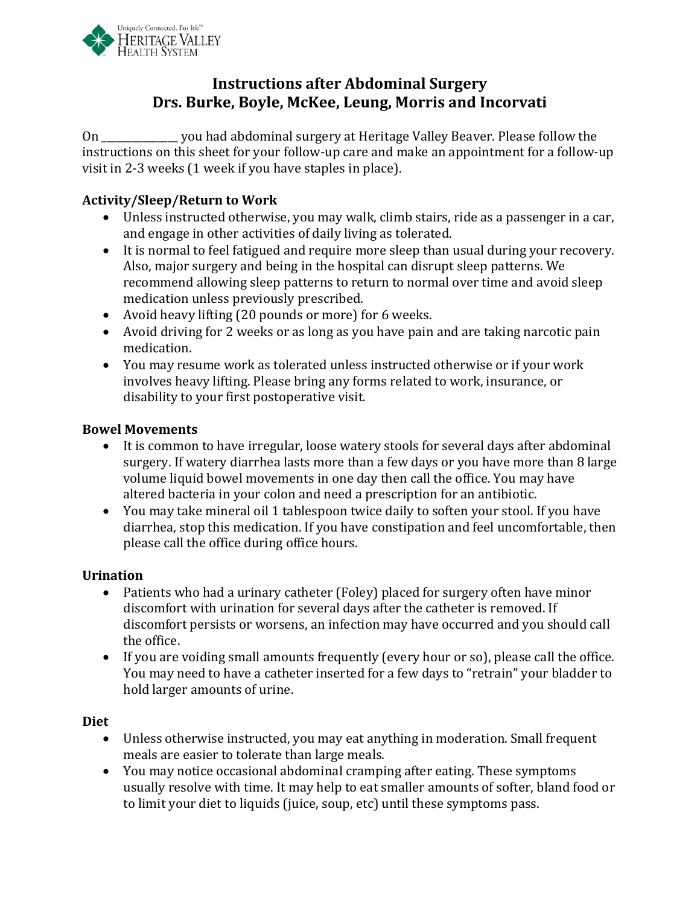

# **Instructions after Abdominal Surgery Drs. Burke, Boyle, McKee, Leung, Morris and Incorvati**

On \_\_\_\_\_\_\_\_\_\_\_\_\_\_\_ you had abdominal surgery at Heritage Valley Beaver. Please follow the instructions on this sheet for your follow-up care and make an appointment for a follow-up visit in 2-3 weeks (1 week if you have staples in place).

#### **Activity/Sleep/Return to Work**

- Unless instructed otherwise, you may walk, climb stairs, ride as a passenger in a car, and engage in other activities of daily living as tolerated.
- It is normal to feel fatigued and require more sleep than usual during your recovery. Also, major surgery and being in the hospital can disrupt sleep patterns. We recommend allowing sleep patterns to return to normal over time and avoid sleep medication unless previously prescribed.
- Avoid heavy lifting (20 pounds or more) for 6 weeks.
- Avoid driving for 2 weeks or as long as you have pain and are taking narcotic pain medication.
- You may resume work as tolerated unless instructed otherwise or if your work involves heavy lifting. Please bring any forms related to work, insurance, or disability to your first postoperative visit.

#### **Bowel Movements**

- It is common to have irregular, loose watery stools for several days after abdominal surgery. If watery diarrhea lasts more than a few days or you have more than 8 large volume liquid bowel movements in one day then call the office. You may have altered bacteria in your colon and need a prescription for an antibiotic.
- You may take mineral oil 1 tablespoon twice daily to soften your stool. If you have diarrhea, stop this medication. If you have constipation and feel uncomfortable, then please call the office during office hours.

#### **Urination**

- Patients who had a urinary catheter (Foley) placed for surgery often have minor discomfort with urination for several days after the catheter is removed. If discomfort persists or worsens, an infection may have occurred and you should call the office.
- If you are voiding small amounts frequently (every hour or so), please call the office. You may need to have a catheter inserted for a few days to "retrain" your bladder to hold larger amounts of urine.

#### **Diet**

- Unless otherwise instructed, you may eat anything in moderation. Small frequent meals are easier to tolerate than large meals.
- You may notice occasional abdominal cramping after eating. These symptoms usually resolve with time. It may help to eat smaller amounts of softer, bland food or to limit your diet to liquids (juice, soup, etc) until these symptoms pass.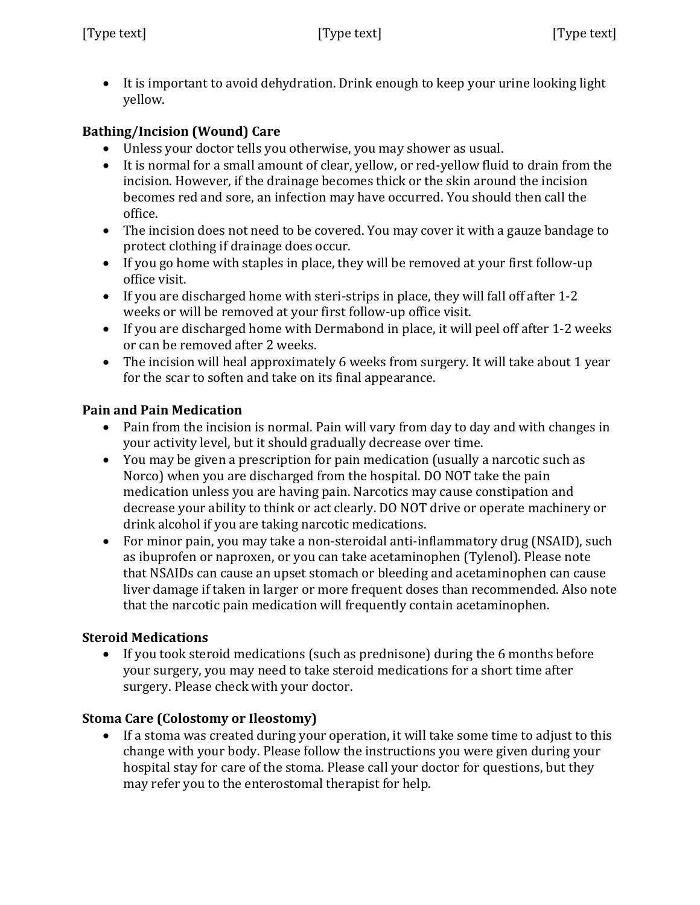• It is important to avoid dehydration. Drink enough to keep your urine looking light yellow.

## **Bathing/Incision (Wound) Care**

- Unless your doctor tells you otherwise, you may shower as usual.
- It is normal for a small amount of clear, yellow, or red-yellow fluid to drain from the incision. However, if the drainage becomes thick or the skin around the incision becomes red and sore, an infection may have occurred. You should then call the office.
- The incision does not need to be covered. You may cover it with a gauze bandage to protect clothing if drainage does occur.
- If you go home with staples in place, they will be removed at your first follow-up office visit.
- If you are discharged home with steri-strips in place, they will fall off after 1-2 weeks or will be removed at your first follow-up office visit.
- If you are discharged home with Dermabond in place, it will peel off after 1-2 weeks or can be removed after 2 weeks.
- The incision will heal approximately 6 weeks from surgery. It will take about 1 year for the scar to soften and take on its final appearance.

## **Pain and Pain Medication**

- Pain from the incision is normal. Pain will vary from day to day and with changes in your activity level, but it should gradually decrease over time.
- You may be given a prescription for pain medication (usually a narcotic such as Norco) when you are discharged from the hospital. DO NOT take the pain medication unless you are having pain. Narcotics may cause constipation and decrease your ability to think or act clearly. DO NOT drive or operate machinery or drink alcohol if you are taking narcotic medications.
- For minor pain, you may take a non-steroidal anti-inflammatory drug (NSAID), such as ibuprofen or naproxen, or you can take acetaminophen (Tylenol). Please note that NSAIDs can cause an upset stomach or bleeding and acetaminophen can cause liver damage if taken in larger or more frequent doses than recommended. Also note that the narcotic pain medication will frequently contain acetaminophen.

# **Steroid Medications**

• If you took steroid medications (such as prednisone) during the 6 months before your surgery, you may need to take steroid medications for a short time after surgery. Please check with your doctor.

# **Stoma Care (Colostomy or Ileostomy)**

• If a stoma was created during your operation, it will take some time to adjust to this change with your body. Please follow the instructions you were given during your hospital stay for care of the stoma. Please call your doctor for questions, but they may refer you to the enterostomal therapist for help.